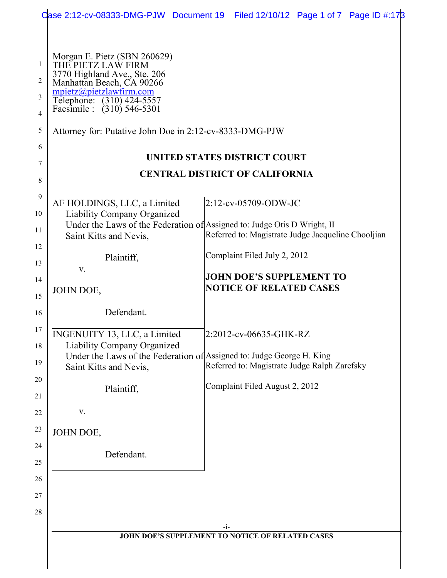|                   | Case 2:12-cv-08333-DMG-PJW Document 19                                                                          | Filed 12/10/12 Page 1 of 7 Page ID #:178                |
|-------------------|-----------------------------------------------------------------------------------------------------------------|---------------------------------------------------------|
|                   |                                                                                                                 |                                                         |
| $\mathbf{1}$<br>2 | Morgan E. Pietz (SBN 260629)<br>THE PIETZ LAW FIRM<br>3770 Highland Ave., Ste. 206<br>Manhattan Beach, CA 90266 |                                                         |
| 3<br>4            | mpietz@pietzlawfirm.com<br>Têlephone: (310) 424-5557<br>Facsimile : (310) 546-5301                              |                                                         |
| $\sqrt{5}$        | Attorney for: Putative John Doe in 2:12-cv-8333-DMG-PJW                                                         |                                                         |
| 6                 |                                                                                                                 | UNITED STATES DISTRICT COURT                            |
| 7                 |                                                                                                                 | <b>CENTRAL DISTRICT OF CALIFORNIA</b>                   |
| 8                 |                                                                                                                 |                                                         |
| 9<br>10           | AF HOLDINGS, LLC, a Limited<br>Liability Company Organized                                                      | 2:12-cv-05709-ODW-JC                                    |
| 11                | Under the Laws of the Federation of Assigned to: Judge Otis D Wright, II<br>Saint Kitts and Nevis,              | Referred to: Magistrate Judge Jacqueline Chooljian      |
| 12<br>13          | Plaintiff,                                                                                                      | Complaint Filed July 2, 2012                            |
| 14                | V.                                                                                                              | <b>JOHN DOE'S SUPPLEMENT TO</b>                         |
| 15                | JOHN DOE,                                                                                                       | <b>NOTICE OF RELATED CASES</b>                          |
| 16                | Defendant.                                                                                                      |                                                         |
| 17<br>18          | INGENUITY 13, LLC, a Limited<br><b>Liability Company Organized</b>                                              | 2:2012-cv-06635-GHK-RZ                                  |
| 19                | Under the Laws of the Federation of Assigned to: Judge George H. King<br>Saint Kitts and Nevis,                 | Referred to: Magistrate Judge Ralph Zarefsky            |
| 20<br>21          | Plaintiff,                                                                                                      | Complaint Filed August 2, 2012                          |
| 22                | V.                                                                                                              |                                                         |
| 23                | JOHN DOE,                                                                                                       |                                                         |
| 24<br>25          | Defendant.                                                                                                      |                                                         |
| 26                |                                                                                                                 |                                                         |
| 27                |                                                                                                                 |                                                         |
| 28                |                                                                                                                 |                                                         |
|                   |                                                                                                                 | -1-<br>JOHN DOE'S SUPPLEMENT TO NOTICE OF RELATED CASES |
|                   |                                                                                                                 |                                                         |
|                   |                                                                                                                 |                                                         |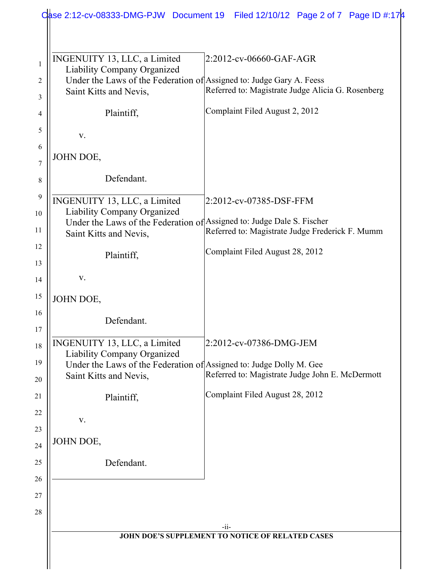| INGENUITY 13, LLC, a Limited       | 2:2012-cv-06660-GAF-AGR                                                                                                   |
|------------------------------------|---------------------------------------------------------------------------------------------------------------------------|
| <b>Liability Company Organized</b> |                                                                                                                           |
|                                    | Under the Laws of the Federation of Assigned to: Judge Gary A. Feess                                                      |
| Saint Kitts and Nevis,             | Referred to: Magistrate Judge Alicia G. Rosenberg                                                                         |
| Plaintiff,                         | Complaint Filed August 2, 2012                                                                                            |
| V.                                 |                                                                                                                           |
| JOHN DOE,                          |                                                                                                                           |
|                                    |                                                                                                                           |
| Defendant.                         |                                                                                                                           |
| INGENUITY 13, LLC, a Limited       | 2:2012-cv-07385-DSF-FFM                                                                                                   |
| Liability Company Organized        |                                                                                                                           |
|                                    | Under the Laws of the Federation of Assigned to: Judge Dale S. Fischer<br>Referred to: Magistrate Judge Frederick F. Mumm |
| Saint Kitts and Nevis,             |                                                                                                                           |
| Plaintiff,                         | Complaint Filed August 28, 2012                                                                                           |
|                                    |                                                                                                                           |
| V.                                 |                                                                                                                           |
| JOHN DOE,                          |                                                                                                                           |
| Defendant.                         |                                                                                                                           |
|                                    |                                                                                                                           |
| INGENUITY 13, LLC, a Limited       | 2:2012-cv-07386-DMG-JEM                                                                                                   |
| Liability Company Organized        |                                                                                                                           |
| Saint Kitts and Nevis,             | Under the Laws of the Federation of Assigned to: Judge Dolly M. Gee<br>Referred to: Magistrate Judge John E. McDermott    |
|                                    | Complaint Filed August 28, 2012                                                                                           |
| Plaintiff,                         |                                                                                                                           |
| V.                                 |                                                                                                                           |
|                                    |                                                                                                                           |
| JOHN DOE,                          |                                                                                                                           |
| Defendant.                         |                                                                                                                           |
|                                    |                                                                                                                           |
|                                    |                                                                                                                           |
|                                    |                                                                                                                           |
|                                    | $-ii-$                                                                                                                    |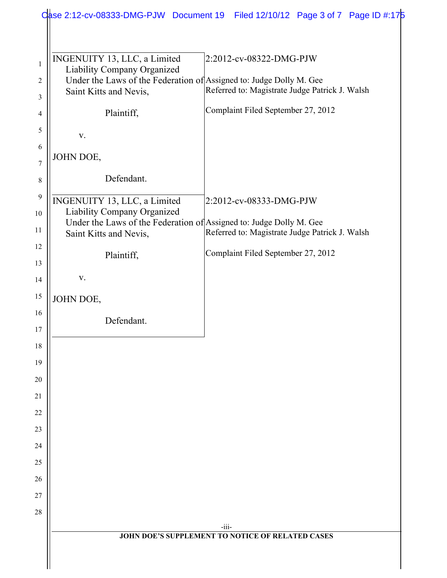|                   |                                                                                                                                                              | Case 2:12-cv-08333-DMG-PJW Document 19 Filed 12/10/12 Page 3 of 7 Page ID #:175 |
|-------------------|--------------------------------------------------------------------------------------------------------------------------------------------------------------|---------------------------------------------------------------------------------|
|                   |                                                                                                                                                              |                                                                                 |
| $\mathbf{1}$<br>2 | INGENUITY 13, LLC, a Limited<br>Liability Company Organized<br>Under the Laws of the Federation of Assigned to: Judge Dolly M. Gee<br>Saint Kitts and Nevis, | 2:2012-cv-08322-DMG-PJW<br>Referred to: Magistrate Judge Patrick J. Walsh       |
| 3                 |                                                                                                                                                              |                                                                                 |
| 4                 | Plaintiff,                                                                                                                                                   | Complaint Filed September 27, 2012                                              |
| 5                 | V.                                                                                                                                                           |                                                                                 |
| 6<br>7            | JOHN DOE,                                                                                                                                                    |                                                                                 |
| $8\,$             | Defendant.                                                                                                                                                   |                                                                                 |
| 9<br>10           | INGENUITY 13, LLC, a Limited<br>Liability Company Organized                                                                                                  | 2:2012-cv-08333-DMG-PJW                                                         |
| 11                | Under the Laws of the Federation of Assigned to: Judge Dolly M. Gee<br>Saint Kitts and Nevis,                                                                | Referred to: Magistrate Judge Patrick J. Walsh                                  |
| 12<br>13          | Plaintiff,                                                                                                                                                   | Complaint Filed September 27, 2012                                              |
| 14                | V.                                                                                                                                                           |                                                                                 |
| 15                | JOHN DOE,                                                                                                                                                    |                                                                                 |
| 16                |                                                                                                                                                              |                                                                                 |
| 17                | Defendant.                                                                                                                                                   |                                                                                 |
| 18                |                                                                                                                                                              |                                                                                 |
| 19                |                                                                                                                                                              |                                                                                 |
| 20                |                                                                                                                                                              |                                                                                 |
| 21                |                                                                                                                                                              |                                                                                 |
| 22                |                                                                                                                                                              |                                                                                 |
| 23                |                                                                                                                                                              |                                                                                 |
| 24                |                                                                                                                                                              |                                                                                 |
| 25                |                                                                                                                                                              |                                                                                 |
| 26                |                                                                                                                                                              |                                                                                 |
| 27<br>28          |                                                                                                                                                              |                                                                                 |
|                   |                                                                                                                                                              | $-iii$                                                                          |
|                   |                                                                                                                                                              | <b>JOHN DOE'S SUPPLEMENT TO NOTICE OF RELATED CASES</b>                         |
|                   |                                                                                                                                                              |                                                                                 |
|                   |                                                                                                                                                              |                                                                                 |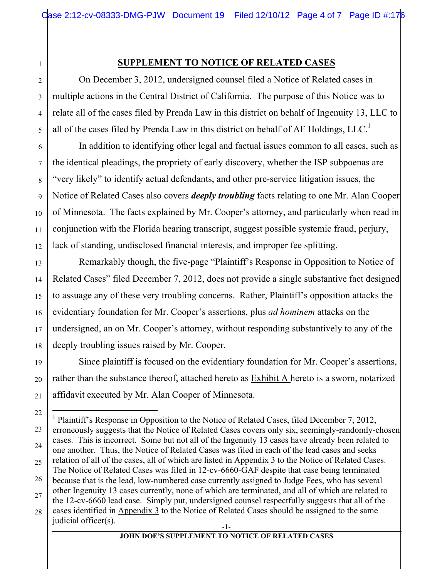## **SUPPLEMENT TO NOTICE OF RELATED CASES**

On December 3, 2012, undersigned counsel filed a Notice of Related cases in multiple actions in the Central District of California. The purpose of this Notice was to relate all of the cases filed by Prenda Law in this district on behalf of Ingenuity 13, LLC to all of the cases filed by Prenda Law in this district on behalf of AF Holdings,  $LLC<sup>1</sup>$ 

In addition to identifying other legal and factual issues common to all cases, such as the identical pleadings, the propriety of early discovery, whether the ISP subpoenas are "very likely" to identify actual defendants, and other pre-service litigation issues, the Notice of Related Cases also covers *deeply troubling* facts relating to one Mr. Alan Cooper of Minnesota. The facts explained by Mr. Cooper's attorney, and particularly when read in conjunction with the Florida hearing transcript, suggest possible systemic fraud, perjury, lack of standing, undisclosed financial interests, and improper fee splitting.

Remarkably though, the five-page "Plaintiff's Response in Opposition to Notice of Related Cases" filed December 7, 2012, does not provide a single substantive fact designed to assuage any of these very troubling concerns. Rather, Plaintiff's opposition attacks the evidentiary foundation for Mr. Cooper's assertions, plus *ad hominem* attacks on the undersigned, an on Mr. Cooper's attorney, without responding substantively to any of the deeply troubling issues raised by Mr. Cooper.

Since plaintiff is focused on the evidentiary foundation for Mr. Cooper's assertions, rather than the substance thereof, attached hereto as Exhibit A hereto is a sworn, notarized affidavit executed by Mr. Alan Cooper of Minnesota.

1

<sup>-1-</sup> |<br>|<br>| <sup>1</sup> Plaintiff's Response in Opposition to the Notice of Related Cases, filed December 7, 2012, erroneously suggests that the Notice of Related Cases covers only six, seemingly-randomly-chosen cases. This is incorrect. Some but not all of the Ingenuity 13 cases have already been related to one another. Thus, the Notice of Related Cases was filed in each of the lead cases and seeks relation of all of the cases, all of which are listed in Appendix 3 to the Notice of Related Cases. The Notice of Related Cases was filed in 12-cv-6660-GAF despite that case being terminated because that is the lead, low-numbered case currently assigned to Judge Fees, who has several other Ingenuity 13 cases currently, none of which are terminated, and all of which are related to the 12-cv-6660 lead case. Simply put, undersigned counsel respectfully suggests that all of the cases identified in Appendix 3 to the Notice of Related Cases should be assigned to the same judicial officer(s).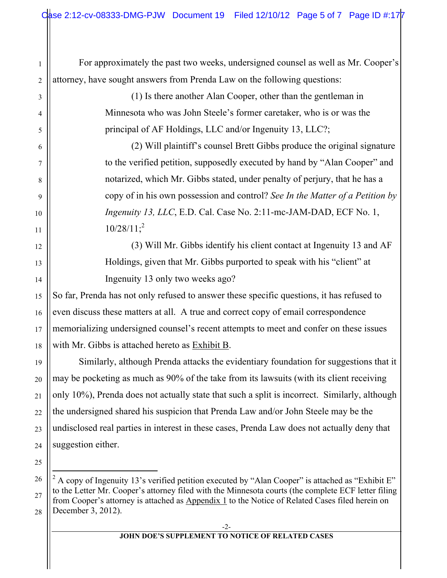For approximately the past two weeks, undersigned counsel as well as Mr. Cooper's attorney, have sought answers from Prenda Law on the following questions:

> (1) Is there another Alan Cooper, other than the gentleman in Minnesota who was John Steele's former caretaker, who is or was the principal of AF Holdings, LLC and/or Ingenuity 13, LLC?;

(2) Will plaintiff's counsel Brett Gibbs produce the original signature to the verified petition, supposedly executed by hand by "Alan Cooper" and notarized, which Mr. Gibbs stated, under penalty of perjury, that he has a copy of in his own possession and control? *See In the Matter of a Petition by Ingenuity 13, LLC*, E.D. Cal. Case No. 2:11-mc-JAM-DAD, ECF No. 1,  $10/28/11$ ;<sup>2</sup>

(3) Will Mr. Gibbs identify his client contact at Ingenuity 13 and AF Holdings, given that Mr. Gibbs purported to speak with his "client" at Ingenuity 13 only two weeks ago?

So far, Prenda has not only refused to answer these specific questions, it has refused to even discuss these matters at all. A true and correct copy of email correspondence memorializing undersigned counsel's recent attempts to meet and confer on these issues with Mr. Gibbs is attached hereto as Exhibit B.

Similarly, although Prenda attacks the evidentiary foundation for suggestions that it may be pocketing as much as 90% of the take from its lawsuits (with its client receiving only 10%), Prenda does not actually state that such a split is incorrect. Similarly, although the undersigned shared his suspicion that Prenda Law and/or John Steele may be the undisclosed real parties in interest in these cases, Prenda Law does not actually deny that suggestion either.

1

2

3

4

5

6

7

8

9

10

11

12

13

14

15

16

17

18

19

20

21

22

23

24

25

<sup>26</sup> 27 28  $\frac{1}{2}$ <sup>2</sup> A copy of Ingenuity 13's verified petition executed by "Alan Cooper" is attached as "Exhibit E" to the Letter Mr. Cooper's attorney filed with the Minnesota courts (the complete ECF letter filing from Cooper's attorney is attached as Appendix 1 to the Notice of Related Cases filed herein on December 3, 2012).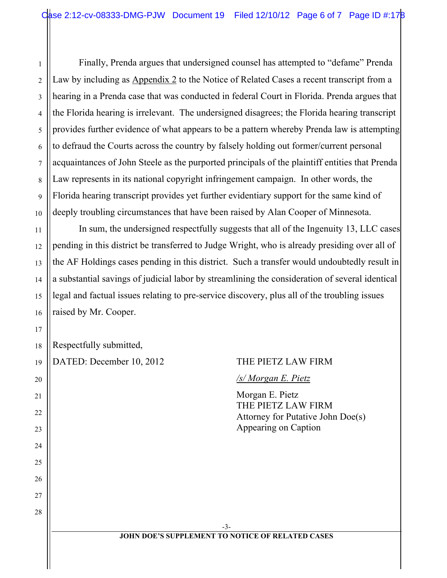Finally, Prenda argues that undersigned counsel has attempted to "defame" Prenda Law by including as Appendix 2 to the Notice of Related Cases a recent transcript from a hearing in a Prenda case that was conducted in federal Court in Florida. Prenda argues that the Florida hearing is irrelevant. The undersigned disagrees; the Florida hearing transcript provides further evidence of what appears to be a pattern whereby Prenda law is attempting to defraud the Courts across the country by falsely holding out former/current personal acquaintances of John Steele as the purported principals of the plaintiff entities that Prenda Law represents in its national copyright infringement campaign. In other words, the Florida hearing transcript provides yet further evidentiary support for the same kind of deeply troubling circumstances that have been raised by Alan Cooper of Minnesota.

In sum, the undersigned respectfully suggests that all of the Ingenuity 13, LLC cases pending in this district be transferred to Judge Wright, who is already presiding over all of the AF Holdings cases pending in this district. Such a transfer would undoubtedly result in a substantial savings of judicial labor by streamlining the consideration of several identical legal and factual issues relating to pre-service discovery, plus all of the troubling issues raised by Mr. Cooper.

|  | $\left\ $ Respectfully submitted, |
|--|-----------------------------------|
|--|-----------------------------------|

| DATED: December 10, 2012 | THE PIETZ LAW FIRM                                                                                 |
|--------------------------|----------------------------------------------------------------------------------------------------|
|                          | /s/ Morgan E. Pietz                                                                                |
|                          | Morgan E. Pietz<br>THE PIETZ LAW FIRM<br>Attorney for Putative John Doe(s)<br>Appearing on Caption |
|                          |                                                                                                    |
|                          |                                                                                                    |
|                          | $-3-$                                                                                              |
|                          | <b>JOHN DOE'S SUPPLEMENT TO NOTICE OF RELATED CASES</b>                                            |

1

2